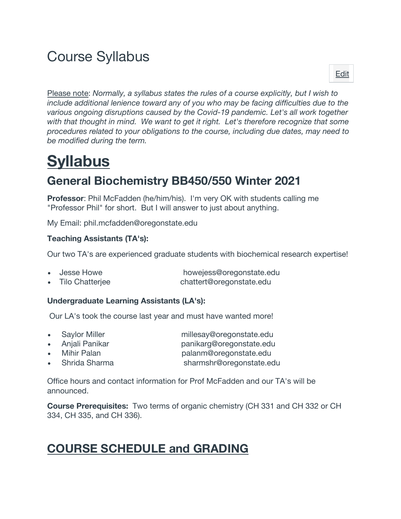## Course Syllabus

Please note: *Normally, a syllabus states the rules of a course explicitly, but I wish to include additional lenience toward any of you who may be facing difficulties due to the various ongoing disruptions caused by the Covid-19 pandemic. Let's all work together with that thought in mind. We want to get it right. Let's therefore recognize that some procedures related to your obligations to the course, including due dates, may need to be modified during the term.*

# **Syllabus**

## **General Biochemistry BB450/550 Winter 2021**

**Professor**: Phil McFadden (he/him/his). I'm very OK with students calling me "Professor Phil" for short. But I will answer to just about anything.

My Email: phil.mcfadden@oregonstate.edu

#### **Teaching Assistants (TA's):**

Our two TA's are experienced graduate students with biochemical research expertise!

| Jesse Howe             | howejess@oregonstate.edu |
|------------------------|--------------------------|
| <b>Tilo Chatterjee</b> | chattert@oregonstate.edu |

#### **Undergraduate Learning Assistants (LA's):**

Our LA's took the course last year and must have wanted more!

• Saylor Miller millesay@oregonstate.edu

- Anjali Panikar panikarg@oregonstate.edu • Mihir Palan palanm@oregonstate.edu
- Shrida Sharma sharmshr@oregonstate.edu
- 

Office hours and contact information for Prof McFadden and our TA's will be announced.

**Course Prerequisites:** Two terms of organic chemistry (CH 331 and CH 332 or CH 334, CH 335, and CH 336).

### **COURSE SCHEDULE and GRADING**

Edit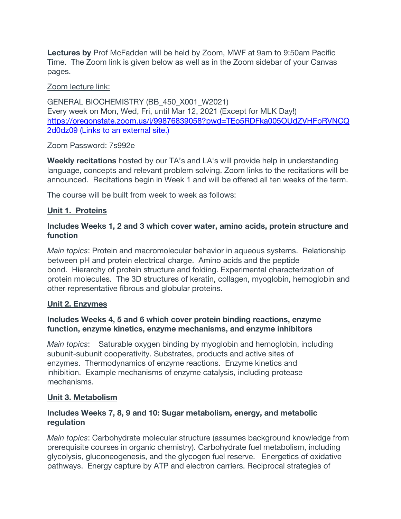**Lectures by** Prof McFadden will be held by Zoom, MWF at 9am to 9:50am Pacific Time. The Zoom link is given below as well as in the Zoom sidebar of your Canvas pages.

#### Zoom lecture link:

GENERAL BIOCHEMISTRY (BB\_450\_X001\_W2021) Every week on Mon, Wed, Fri, until Mar 12, 2021 (Except for MLK Day!) https://oregonstate.zoom.us/j/99876839058?pwd=TEo5RDFka005OUdZVHFpRVNCQ 2d0dz09 (Links to an external site.)

#### Zoom Password: 7s992e

**Weekly recitations** hosted by our TA's and LA's will provide help in understanding language, concepts and relevant problem solving. Zoom links to the recitations will be announced. Recitations begin in Week 1 and will be offered all ten weeks of the term.

The course will be built from week to week as follows:

#### **Unit 1. Proteins**

#### **Includes Weeks 1, 2 and 3 which cover water, amino acids, protein structure and function**

*Main topics*: Protein and macromolecular behavior in aqueous systems. Relationship between pH and protein electrical charge. Amino acids and the peptide bond. Hierarchy of protein structure and folding. Experimental characterization of protein molecules. The 3D structures of keratin, collagen, myoglobin, hemoglobin and other representative fibrous and globular proteins.

#### **Unit 2. Enzymes**

#### **Includes Weeks 4, 5 and 6 which cover protein binding reactions, enzyme function, enzyme kinetics, enzyme mechanisms, and enzyme inhibitors**

*Main topics*: Saturable oxygen binding by myoglobin and hemoglobin, including subunit-subunit cooperativity. Substrates, products and active sites of enzymes. Thermodynamics of enzyme reactions. Enzyme kinetics and inhibition. Example mechanisms of enzyme catalysis, including protease mechanisms.

#### **Unit 3. Metabolism**

#### **Includes Weeks 7, 8, 9 and 10: Sugar metabolism, energy, and metabolic regulation**

*Main topics*: Carbohydrate molecular structure (assumes background knowledge from prerequisite courses in organic chemistry). Carbohydrate fuel metabolism, including glycolysis, gluconeogenesis, and the glycogen fuel reserve. Energetics of oxidative pathways. Energy capture by ATP and electron carriers. Reciprocal strategies of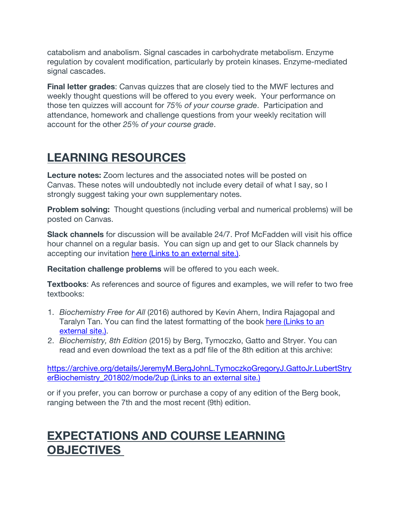catabolism and anabolism. Signal cascades in carbohydrate metabolism. Enzyme regulation by covalent modification, particularly by protein kinases. Enzyme-mediated signal cascades.

**Final letter grades**: Canvas quizzes that are closely tied to the MWF lectures and weekly thought questions will be offered to you every week. Your performance on those ten quizzes will account for *75% of your course grade*. Participation and attendance, homework and challenge questions from your weekly recitation will account for the other *25% of your course grade*.

## **LEARNING RESOURCES**

**Lecture notes:** Zoom lectures and the associated notes will be posted on Canvas. These notes will undoubtedly not include every detail of what I say, so I strongly suggest taking your own supplementary notes.

**Problem solving:** Thought questions (including verbal and numerical problems) will be posted on Canvas.

**Slack channels** for discussion will be available 24/7. Prof McFadden will visit his office hour channel on a regular basis. You can sign up and get to our Slack channels by accepting our invitation here (Links to an external site.).

**Recitation challenge problems** will be offered to you each week.

**Textbooks:** As references and source of figures and examples, we will refer to two free textbooks:

- 1. *Biochemistry Free for All* (2016) authored by Kevin Ahern, Indira Rajagopal and Taralyn Tan. You can find the latest formatting of the book here (Links to an external site.).
- 2. *Biochemistry, 8th Edition* (2015) by Berg, Tymoczko, Gatto and Stryer. You can read and even download the text as a pdf file of the 8th edition at this archive:

https://archive.org/details/JeremyM.BergJohnL.TymoczkoGregoryJ.GattoJr.LubertStry erBiochemistry 201802/mode/2up (Links to an external site.)

or if you prefer, you can borrow or purchase a copy of any edition of the Berg book, ranging between the 7th and the most recent (9th) edition.

## **EXPECTATIONS AND COURSE LEARNING OBJECTIVES**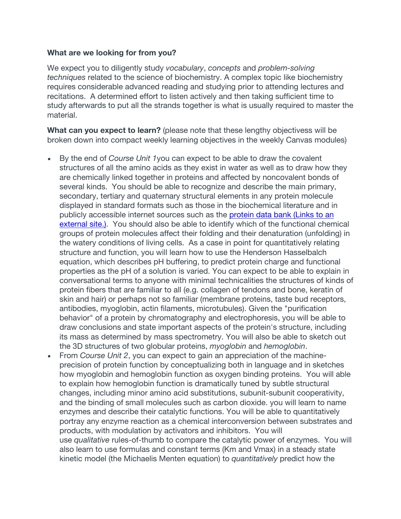#### **What are we looking for from you?**

We expect you to diligently study *vocabulary*, *concepts* and *problem-solving techniques* related to the science of biochemistry. A complex topic like biochemistry requires considerable advanced reading and studying prior to attending lectures and recitations. A determined effort to listen actively and then taking sufficient time to study afterwards to put all the strands together is what is usually required to master the material.

**What can you expect to learn?** (please note that these lengthy objectivess will be broken down into compact weekly learning objectives in the weekly Canvas modules)

- By the end of *Course Unit 1*you can expect to be able to draw the covalent structures of all the amino acids as they exist in water as well as to draw how they are chemically linked together in proteins and affected by noncovalent bonds of several kinds. You should be able to recognize and describe the main primary, secondary, tertiary and quaternary structural elements in any protein molecule displayed in standard formats such as those in the biochemical literature and in publicly accessible internet sources such as the protein data bank (Links to an external site.). You should also be able to identify which of the functional chemical groups of protein molecules affect their folding and their denaturation (unfolding) in the watery conditions of living cells. As a case in point for quantitatively relating structure and function, you will learn how to use the Henderson Hasselbalch equation, which describes pH buffering, to predict protein charge and functional properties as the pH of a solution is varied. You can expect to be able to explain in conversational terms to anyone with minimal technicalities the structures of kinds of protein fibers that are familiar to all (e.g. collagen of tendons and bone, keratin of skin and hair) or perhaps not so familiar (membrane proteins, taste bud receptors, antibodies, myoglobin, actin filaments, microtubules). Given the "purification behavior" of a protein by chromatography and electrophoresis, you will be able to draw conclusions and state important aspects of the protein's structure, including its mass as determined by mass spectrometry. You will also be able to sketch out the 3D structures of two globular proteins, *myoglobin* and *hemoglobin*.
- From *Course Unit 2*, you can expect to gain an appreciation of the machineprecision of protein function by conceptualizing both in language and in sketches how myoglobin and hemoglobin function as oxygen binding proteins. You will able to explain how hemoglobin function is dramatically tuned by subtle structural changes, including minor amino acid substitutions, subunit-subunit cooperativity, and the binding of small molecules such as carbon dioxide. you will learn to name enzymes and describe their catalytic functions. You will be able to quantitatively portray any enzyme reaction as a chemical interconversion between substrates and products, with modulation by activators and inhibitors. You will use *qualitative* rules-of-thumb to compare the catalytic power of enzymes. You will also learn to use formulas and constant terms (Km and Vmax) in a steady state kinetic model (the Michaelis Menten equation) to *quantitatively* predict how the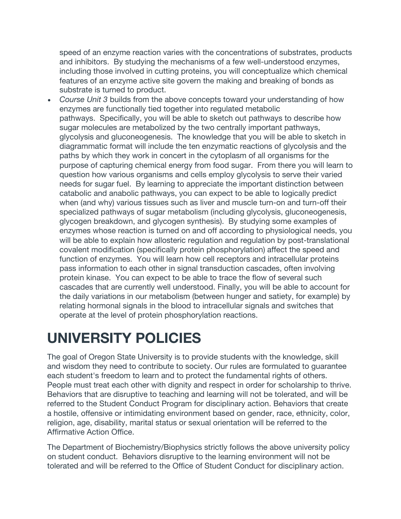speed of an enzyme reaction varies with the concentrations of substrates, products and inhibitors. By studying the mechanisms of a few well-understood enzymes, including those involved in cutting proteins, you will conceptualize which chemical features of an enzyme active site govern the making and breaking of bonds as substrate is turned to product.

• *Course Unit 3* builds from the above concepts toward your understanding of how enzymes are functionally tied together into regulated metabolic pathways. Specifically, you will be able to sketch out pathways to describe how sugar molecules are metabolized by the two centrally important pathways, glycolysis and gluconeogenesis. The knowledge that you will be able to sketch in diagrammatic format will include the ten enzymatic reactions of glycolysis and the paths by which they work in concert in the cytoplasm of all organisms for the purpose of capturing chemical energy from food sugar. From there you will learn to question how various organisms and cells employ glycolysis to serve their varied needs for sugar fuel. By learning to appreciate the important distinction between catabolic and anabolic pathways, you can expect to be able to logically predict when (and why) various tissues such as liver and muscle turn-on and turn-off their specialized pathways of sugar metabolism (including glycolysis, gluconeogenesis, glycogen breakdown, and glycogen synthesis). By studying some examples of enzymes whose reaction is turned on and off according to physiological needs, you will be able to explain how allosteric regulation and regulation by post-translational covalent modification (specifically protein phosphorylation) affect the speed and function of enzymes. You will learn how cell receptors and intracellular proteins pass information to each other in signal transduction cascades, often involving protein kinase. You can expect to be able to trace the flow of several such cascades that are currently well understood. Finally, you will be able to account for the daily variations in our metabolism (between hunger and satiety, for example) by relating hormonal signals in the blood to intracellular signals and switches that operate at the level of protein phosphorylation reactions.

## **UNIVERSITY POLICIES**

The goal of Oregon State University is to provide students with the knowledge, skill and wisdom they need to contribute to society. Our rules are formulated to guarantee each student's freedom to learn and to protect the fundamental rights of others. People must treat each other with dignity and respect in order for scholarship to thrive. Behaviors that are disruptive to teaching and learning will not be tolerated, and will be referred to the Student Conduct Program for disciplinary action. Behaviors that create a hostile, offensive or intimidating environment based on gender, race, ethnicity, color, religion, age, disability, marital status or sexual orientation will be referred to the Affirmative Action Office.

The Department of Biochemistry/Biophysics strictly follows the above university policy on student conduct. Behaviors disruptive to the learning environment will not be tolerated and will be referred to the Office of Student Conduct for disciplinary action.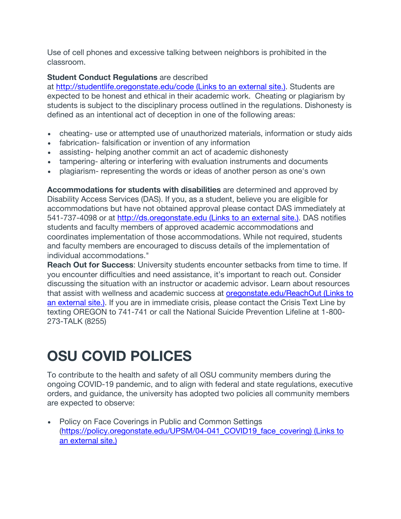Use of cell phones and excessive talking between neighbors is prohibited in the classroom.

#### **Student Conduct Regulations** are described

at http://studentlife.oregonstate.edu/code (Links to an external site.). Students are expected to be honest and ethical in their academic work. Cheating or plagiarism by students is subject to the disciplinary process outlined in the regulations. Dishonesty is defined as an intentional act of deception in one of the following areas:

- cheating- use or attempted use of unauthorized materials, information or study aids
- fabrication- falsification or invention of any information
- assisting- helping another commit an act of academic dishonesty
- tampering- altering or interfering with evaluation instruments and documents
- plagiarism- representing the words or ideas of another person as one's own

**Accommodations for students with disabilities** are determined and approved by Disability Access Services (DAS). If you, as a student, believe you are eligible for accommodations but have not obtained approval please contact DAS immediately at 541-737-4098 or at http://ds.oregonstate.edu (Links to an external site.). DAS notifies students and faculty members of approved academic accommodations and coordinates implementation of those accommodations. While not required, students and faculty members are encouraged to discuss details of the implementation of individual accommodations."

**Reach Out for Success:** University students encounter setbacks from time to time. If you encounter difficulties and need assistance, it's important to reach out. Consider discussing the situation with an instructor or academic advisor. Learn about resources that assist with wellness and academic success at oregonstate.edu/ReachOut (Links to an external site.). If you are in immediate crisis, please contact the Crisis Text Line by texting OREGON to 741-741 or call the National Suicide Prevention Lifeline at 1-800- 273-TALK (8255)

## **OSU COVID POLICES**

To contribute to the health and safety of all OSU community members during the ongoing COVID-19 pandemic, and to align with federal and state regulations, executive orders, and guidance, the university has adopted two policies all community members are expected to observe:

Policy on Face Coverings in Public and Common Settings (https://policy.oregonstate.edu/UPSM/04-041\_COVID19\_face\_covering) (Links to an external site.)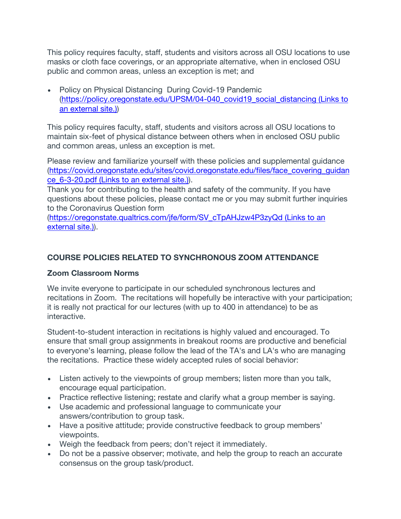This policy requires faculty, staff, students and visitors across all OSU locations to use masks or cloth face coverings, or an appropriate alternative, when in enclosed OSU public and common areas, unless an exception is met; and

• Policy on Physical Distancing During Covid-19 Pandemic (https://policy.oregonstate.edu/UPSM/04-040\_covid19\_social\_distancing (Links to an external site.))

This policy requires faculty, staff, students and visitors across all OSU locations to maintain six-feet of physical distance between others when in enclosed OSU public and common areas, unless an exception is met.

Please review and familiarize yourself with these policies and supplemental guidance (https://covid.oregonstate.edu/sites/covid.oregonstate.edu/files/face\_covering\_guidan ce\_6-3-20.pdf (Links to an external site.)).

Thank you for contributing to the health and safety of the community. If you have questions about these policies, please contact me or you may submit further inquiries to the Coronavirus Question form

(https://oregonstate.qualtrics.com/jfe/form/SV\_cTpAHJzw4P3zyQd (Links to an external site.)).

#### **COURSE POLICIES RELATED TO SYNCHRONOUS ZOOM ATTENDANCE**

#### **Zoom Classroom Norms**

We invite everyone to participate in our scheduled synchronous lectures and recitations in Zoom. The recitations will hopefully be interactive with your participation; it is really not practical for our lectures (with up to 400 in attendance) to be as interactive.

Student-to-student interaction in recitations is highly valued and encouraged. To ensure that small group assignments in breakout rooms are productive and beneficial to everyone's learning, please follow the lead of the TA's and LA's who are managing the recitations. Practice these widely accepted rules of social behavior:

- Listen actively to the viewpoints of group members; listen more than you talk, encourage equal participation.
- Practice reflective listening; restate and clarify what a group member is saying.
- Use academic and professional language to communicate your answers/contribution to group task.
- Have a positive attitude; provide constructive feedback to group members' viewpoints.
- Weigh the feedback from peers; don't reject it immediately.
- Do not be a passive observer; motivate, and help the group to reach an accurate consensus on the group task/product.